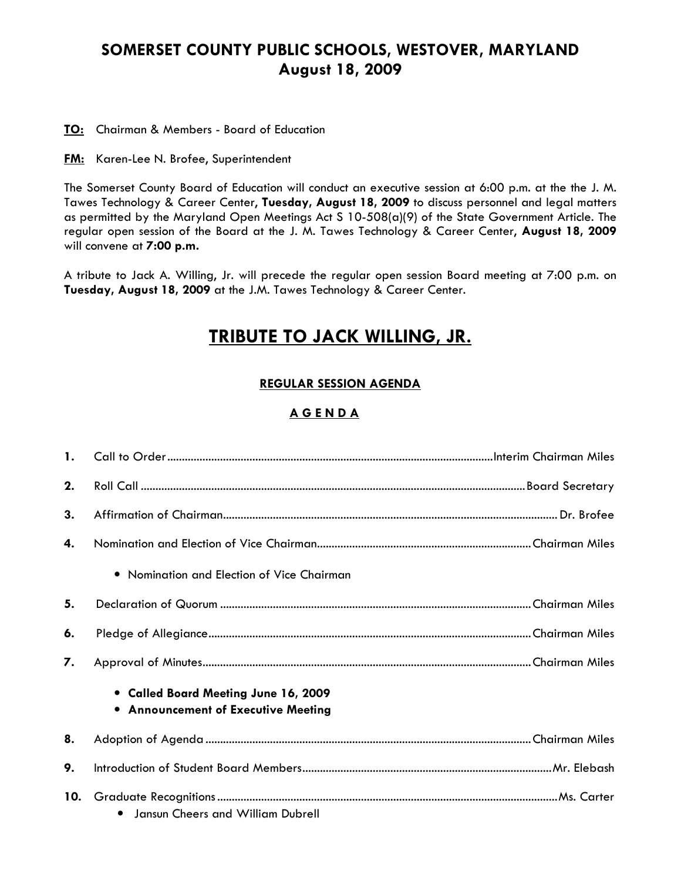## SOMERSET COUNTY PUBLIC SCHOOLS, WESTOVER, MARYLAND August 18, 2009

TO: Chairman & Members - Board of Education

**FM:** Karen-Lee N. Brofee, Superintendent

The Somerset County Board of Education will conduct an executive session at 6:00 p.m. at the the J. M. Tawes Technology & Career Center, Tuesday, August 18, 2009 to discuss personnel and legal matters as permitted by the Maryland Open Meetings Act S 10-508(a)(9) of the State Government Article. The regular open session of the Board at the J. M. Tawes Technology & Career Center, August 18, 2009 will convene at 7:00 p.m.

A tribute to Jack A. Willing, Jr. will precede the regular open session Board meeting at 7:00 p.m. on Tuesday, August 18, 2009 at the J.M. Tawes Technology & Career Center.

# TRIBUTE TO JACK WILLING, JR.

### REGULAR SESSION AGENDA

### A G E N D A

| 2.  |                                                                             |  |
|-----|-----------------------------------------------------------------------------|--|
| 3.  |                                                                             |  |
| 4.  |                                                                             |  |
|     | • Nomination and Election of Vice Chairman                                  |  |
| 5.  |                                                                             |  |
| 6.  |                                                                             |  |
| 7.  |                                                                             |  |
|     | • Called Board Meeting June 16, 2009<br>• Announcement of Executive Meeting |  |
| 8.  |                                                                             |  |
| 9.  |                                                                             |  |
| 10. | • Jansun Cheers and William Dubrell                                         |  |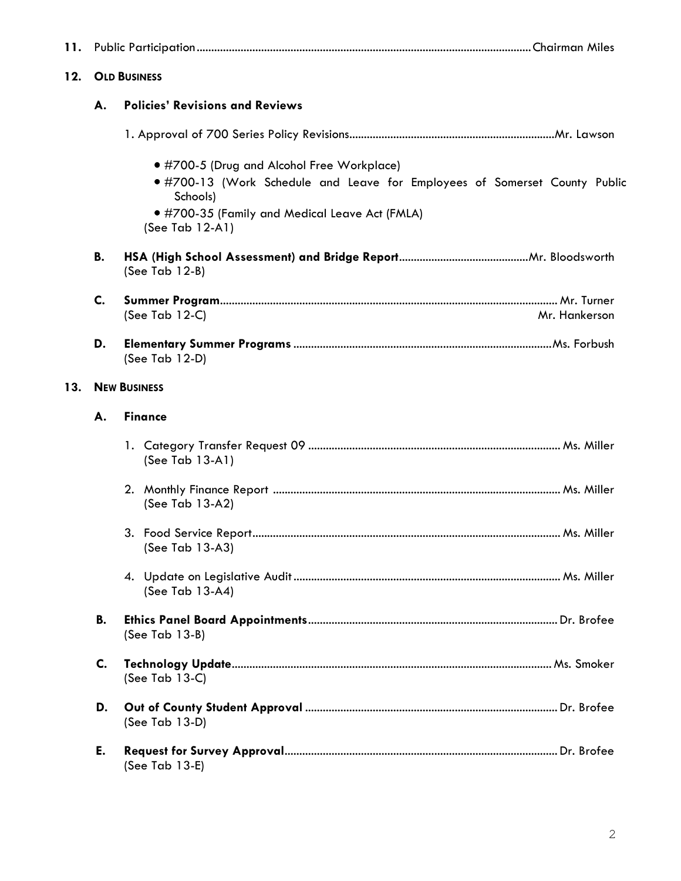| 11. |                     |                                                                                                                                                                                                          |               |
|-----|---------------------|----------------------------------------------------------------------------------------------------------------------------------------------------------------------------------------------------------|---------------|
| 12. | <b>OLD BUSINESS</b> |                                                                                                                                                                                                          |               |
|     | А.                  | <b>Policies' Revisions and Reviews</b>                                                                                                                                                                   |               |
|     |                     |                                                                                                                                                                                                          |               |
|     |                     | • #700-5 (Drug and Alcohol Free Workplace)<br>.#700-13 (Work Schedule and Leave for Employees of Somerset County Public<br>Schools)<br>● #700-35 (Family and Medical Leave Act (FMLA)<br>(See Tab 12-A1) |               |
|     | В.                  | (See Tab $12-B$ )                                                                                                                                                                                        |               |
|     | C.                  | (See Tab $12-C$ )                                                                                                                                                                                        | Mr. Hankerson |
|     | D.                  | (See Tab 12-D)                                                                                                                                                                                           |               |
| 13. | <b>NEW BUSINESS</b> |                                                                                                                                                                                                          |               |
|     | А.                  | <b>Finance</b>                                                                                                                                                                                           |               |
|     |                     | (See Tab 13-A1)                                                                                                                                                                                          |               |
|     |                     | (See Tab 13-A2)                                                                                                                                                                                          |               |
|     |                     | (See Tab 13-A3)                                                                                                                                                                                          |               |
|     |                     | (See Tab 13-A4)                                                                                                                                                                                          |               |
|     | В.                  | (See Tab 13-B)                                                                                                                                                                                           |               |
|     | C.                  | (See Tab $13-C$ )                                                                                                                                                                                        |               |
|     | D.                  | (See Tab 13-D)                                                                                                                                                                                           |               |
|     | Е.                  | (See Tab 13-E)                                                                                                                                                                                           |               |